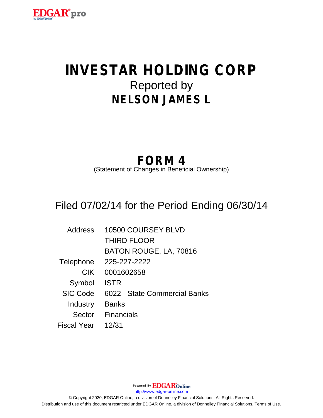

# **INVESTAR HOLDING CORP** Reported by **NELSON JAMES L**

## **FORM 4**

(Statement of Changes in Beneficial Ownership)

## Filed 07/02/14 for the Period Ending 06/30/14

| <b>Address</b>  | 10500 COURSEY BLVD            |
|-----------------|-------------------------------|
|                 | <b>THIRD FLOOR</b>            |
|                 | BATON ROUGE, LA, 70816        |
| Telephone       | 225-227-2222                  |
| <b>CIK</b>      | 0001602658                    |
| Symbol          | <b>ISTR</b>                   |
| <b>SIC Code</b> | 6022 - State Commercial Banks |
| Industry        | <b>Banks</b>                  |
| Sector          | <b>Financials</b>             |
| Fiscal Year     | 12/31                         |

Powered By **EDGAR**Online http://www.edgar-online.com © Copyright 2020, EDGAR Online, a division of Donnelley Financial Solutions. All Rights Reserved. Distribution and use of this document restricted under EDGAR Online, a division of Donnelley Financial Solutions, Terms of Use.